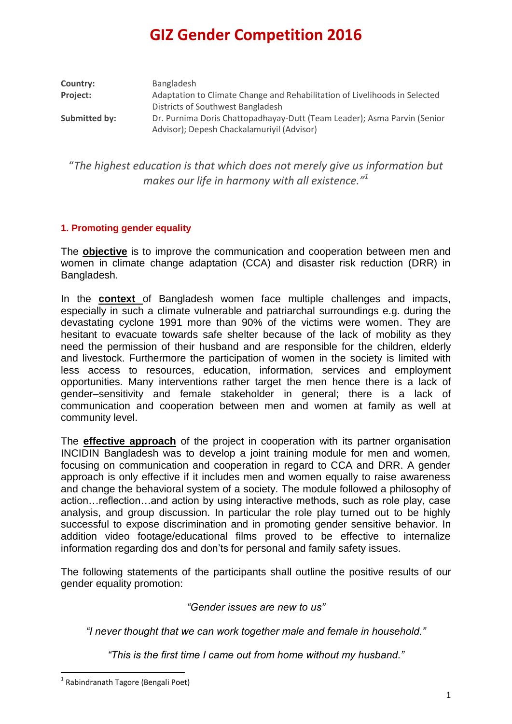| Country:        | Bangladesh                                                                 |
|-----------------|----------------------------------------------------------------------------|
| <b>Project:</b> | Adaptation to Climate Change and Rehabilitation of Livelihoods in Selected |
|                 | Districts of Southwest Bangladesh                                          |
| Submitted by:   | Dr. Purnima Doris Chattopadhayay-Dutt (Team Leader); Asma Parvin (Senior   |
|                 | Advisor); Depesh Chackalamuriyil (Advisor)                                 |

"*The highest education is that which does not merely give us information but makes our life in harmony with all existence."<sup>1</sup>*

### **1. Promoting gender equality**

The **objective** is to improve the communication and cooperation between men and women in climate change adaptation (CCA) and disaster risk reduction (DRR) in Bangladesh.

In the **context** of Bangladesh women face multiple challenges and impacts, especially in such a climate vulnerable and patriarchal surroundings e.g. during the devastating cyclone 1991 more than 90% of the victims were women. They are hesitant to evacuate towards safe shelter because of the lack of mobility as they need the permission of their husband and are responsible for the children, elderly and livestock. Furthermore the participation of women in the society is limited with less access to resources, education, information, services and employment opportunities. Many interventions rather target the men hence there is a lack of gender–sensitivity and female stakeholder in general; there is a lack of communication and cooperation between men and women at family as well at community level.

The **effective approach** of the project in cooperation with its partner organisation INCIDIN Bangladesh was to develop a joint training module for men and women, focusing on communication and cooperation in regard to CCA and DRR. A gender approach is only effective if it includes men and women equally to raise awareness and change the behavioral system of a society. The module followed a philosophy of action…reflection…and action by using interactive methods, such as role play, case analysis, and group discussion. In particular the role play turned out to be highly successful to expose discrimination and in promoting gender sensitive behavior. In addition video footage/educational films proved to be effective to internalize information regarding dos and don'ts for personal and family safety issues.

The following statements of the participants shall outline the positive results of our gender equality promotion:

*"Gender issues are new to us"*

*"I never thought that we can work together male and female in household."*

*"This is the first time I came out from home without my husband."*

 1 Rabindranath Tagore (Bengali Poet)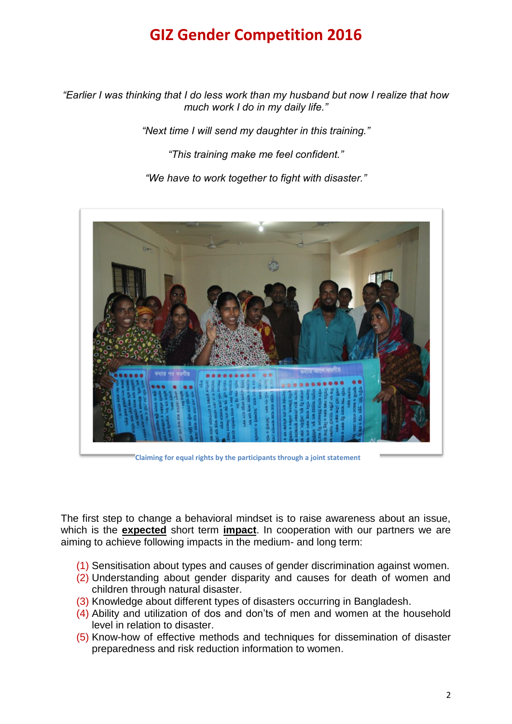*"Earlier I was thinking that I do less work than my husband but now I realize that how much work I do in my daily life."*

*"Next time I will send my daughter in this training."*

*"This training make me feel confident."*

*"We have to work together to fight with disaster."*



**Claiming for equal rights by the participants through a joint statement**

The first step to change a behavioral mindset is to raise awareness about an issue, which is the **expected** short term **impact**. In cooperation with our partners we are aiming to achieve following impacts in the medium- and long term:

- (1) Sensitisation about types and causes of gender discrimination against women.
- (2) Understanding about gender disparity and causes for death of women and children through natural disaster.
- (3) Knowledge about different types of disasters occurring in Bangladesh.
- (4) Ability and utilization of dos and don'ts of men and women at the household level in relation to disaster.
- (5) Know-how of effective methods and techniques for dissemination of disaster preparedness and risk reduction information to women.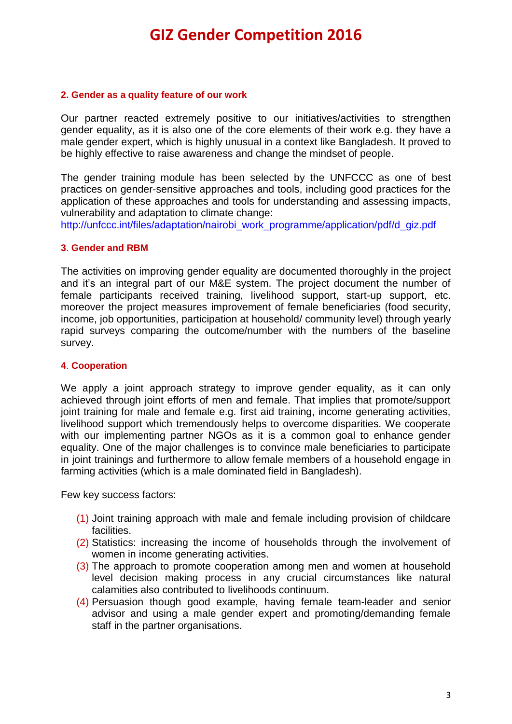#### **2. Gender as a quality feature of our work**

Our partner reacted extremely positive to our initiatives/activities to strengthen gender equality, as it is also one of the core elements of their work e.g. they have a male gender expert, which is highly unusual in a context like Bangladesh. It proved to be highly effective to raise awareness and change the mindset of people.

The gender training module has been selected by the UNFCCC as one of best practices on gender-sensitive approaches and tools, including good practices for the application of these approaches and tools for understanding and assessing impacts, vulnerability and adaptation to climate change:

[http://unfccc.int/files/adaptation/nairobi\\_work\\_programme/application/pdf/d\\_giz.pdf](http://unfccc.int/files/adaptation/nairobi_work_programme/application/pdf/d_giz.pdf)

#### **3**. **Gender and RBM**

The activities on improving gender equality are documented thoroughly in the project and it's an integral part of our M&E system. The project document the number of female participants received training, livelihood support, start-up support, etc. moreover the project measures improvement of female beneficiaries (food security, income, job opportunities, participation at household/ community level) through yearly rapid surveys comparing the outcome/number with the numbers of the baseline survey.

#### **4**. **Cooperation**

We apply a joint approach strategy to improve gender equality, as it can only achieved through joint efforts of men and female. That implies that promote/support joint training for male and female e.g. first aid training, income generating activities, livelihood support which tremendously helps to overcome disparities. We cooperate with our implementing partner NGOs as it is a common goal to enhance gender equality. One of the major challenges is to convince male beneficiaries to participate in joint trainings and furthermore to allow female members of a household engage in farming activities (which is a male dominated field in Bangladesh).

Few key success factors:

- (1) Joint training approach with male and female including provision of childcare facilities.
- (2) Statistics: increasing the income of households through the involvement of women in income generating activities.
- (3) The approach to promote cooperation among men and women at household level decision making process in any crucial circumstances like natural calamities also contributed to livelihoods continuum.
- (4) Persuasion though good example, having female team-leader and senior advisor and using a male gender expert and promoting/demanding female staff in the partner organisations.